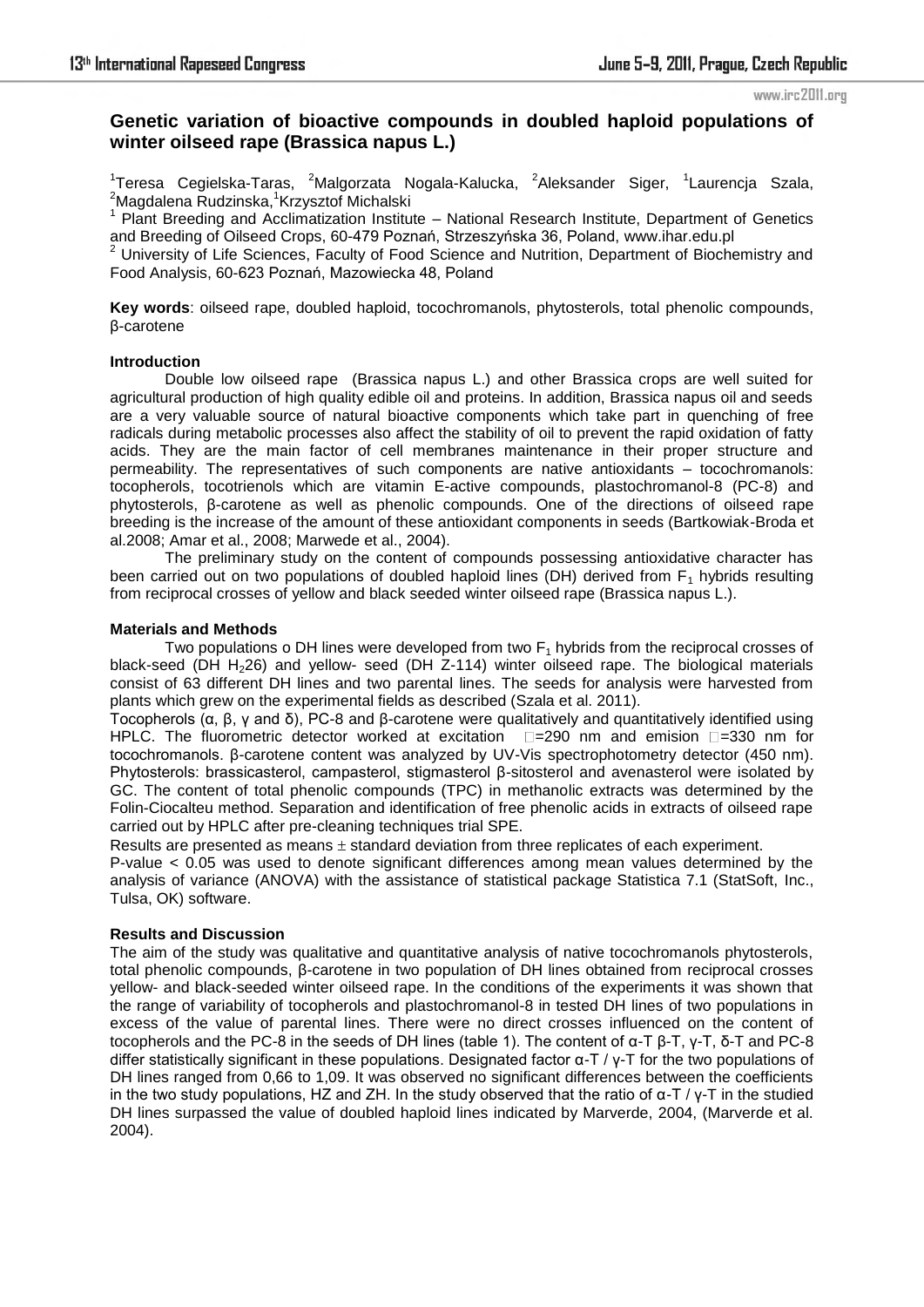#### www.irc2011.org

# **Genetic variation of bioactive compounds in doubled haploid populations of winter oilseed rape (Brassica napus L.)**

<sup>1</sup>Teresa Cegielska-Taras, <sup>2</sup>Malgorzata Nogala-Kalucka, <sup>2</sup>Aleksander Siger, <sup>1</sup>Laurencja Szala,  ${}^{2}$ Magdalena Rudzinska, ${}^{1}$ Krzysztof Michalski

<sup>1</sup> Plant Breeding and Acclimatization Institute - National Research Institute, Department of Genetics

and Breeding of Oilseed Crops, 60-479 Poznań, Strzeszyńska 36, Poland, www.ihar.edu.pl<br><sup>2</sup> University of Life Sciences, Faculty of Food Science and Nutrition, Department of Biochemistry and Food Analysis, 60-623 Poznań, Mazowiecka 48, Poland

**Key words**: oilseed rape, doubled haploid, tocochromanols, phytosterols, total phenolic compounds, β-carotene

#### **Introduction**

Double low oilseed rape (Brassica napus L.) and other Brassica crops are well suited for agricultural production of high quality edible oil and proteins. In addition, Brassica napus oil and seeds are a very valuable source of natural bioactive components which take part in quenching of free radicals during metabolic processes also affect the stability of oil to prevent the rapid oxidation of fatty acids. They are the main factor of cell membranes maintenance in their proper structure and permeability. The representatives of such components are native antioxidants – tocochromanols: tocopherols, tocotrienols which are vitamin E-active compounds, plastochromanol-8 (PC-8) and phytosterols, β-carotene as well as phenolic compounds. One of the directions of oilseed rape breeding is the increase of the amount of these antioxidant components in seeds (Bartkowiak-Broda et al.2008; Amar et al., 2008; Marwede et al., 2004).

The preliminary study on the content of compounds possessing antioxidative character has been carried out on two populations of doubled haploid lines (DH) derived from  $F_1$  hybrids resulting from reciprocal crosses of yellow and black seeded winter oilseed rape (Brassica napus L.).

#### **Materials and Methods**

Two populations o DH lines were developed from two  $F_1$  hybrids from the reciprocal crosses of black-seed (DH H<sub>2</sub>26) and yellow- seed (DH  $Z-114$ ) winter oilseed rape. The biological materials consist of 63 different DH lines and two parental lines. The seeds for analysis were harvested from plants which grew on the experimental fields as described (Szala et al. 2011).

Tocopherols (α, β, γ and δ), PC-8 and β-carotene were qualitatively and quantitatively identified using HPLC. The fluorometric detector worked at excitation  $\square$ =290 nm and emision  $\square$ =330 nm for tocochromanols. β-carotene content was analyzed by UV-Vis spectrophotometry detector (450 nm). Phytosterols: brassicasterol, campasterol, stigmasterol β-sitosterol and avenasterol were isolated by GC. The content of total phenolic compounds (TPC) in methanolic extracts was determined by the Folin-Ciocalteu method. Separation and identification of free phenolic acids in extracts of oilseed rape carried out by HPLC after pre-cleaning techniques trial SPE.

Results are presented as means  $\pm$  standard deviation from three replicates of each experiment. P-value  $< 0.05$  was used to denote significant differences among mean values determined by the analysis of variance (ANOVA) with the assistance of statistical package Statistica 7.1 (StatSoft, Inc., Tulsa, OK) software.

#### **Results and Discussion**

The aim of the study was qualitative and quantitative analysis of native tocochromanols phytosterols, total phenolic compounds, β-carotene in two population of DH lines obtained from reciprocal crosses yellow- and black-seeded winter oilseed rape. In the conditions of the experiments it was shown that the range of variability of tocopherols and plastochromanol-8 in tested DH lines of two populations in excess of the value of parental lines. There were no direct crosses influenced on the content of tocopherols and the PC-8 in the seeds of DH lines (table 1). The content of α-T β-T, γ-T, δ-T and PC-8 differ statistically significant in these populations. Designated factor α-T / γ-T for the two populations of DH lines ranged from 0,66 to 1,09. It was observed no significant differences between the coefficients in the two study populations, HZ and ZH. In the study observed that the ratio of  $\alpha$ -T / γ-T in the studied DH lines surpassed the value of doubled haploid lines indicated by Marverde, 2004, (Marverde et al. 2004).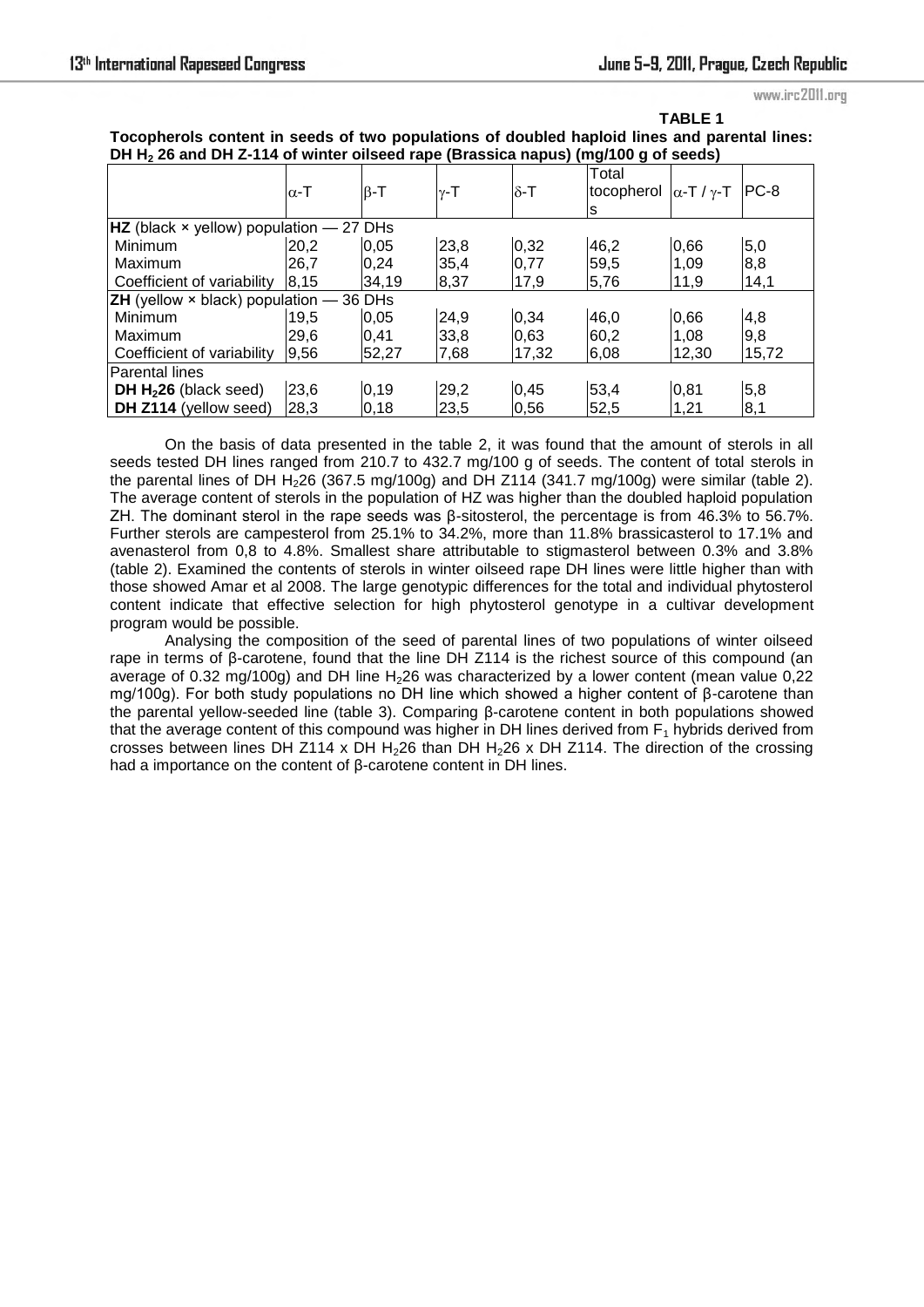**TABLE 1** 

www.irc2011.org

|                                                                                              | 1 ABLL 1 |
|----------------------------------------------------------------------------------------------|----------|
| Tocopherols content in seeds of two populations of doubled haploid lines and parental lines: |          |
| DH $H_2$ 26 and DH Z-114 of winter oilseed rape (Brassica napus) (mg/100 g of seeds)         |          |

|                                                         | $\alpha$ -T | $\beta$ -T | γ-T  | $\delta$ -T | Total<br>tocopherol $\alpha$ -T / $\gamma$ -T<br>S |       | $PC-8$ |
|---------------------------------------------------------|-------------|------------|------|-------------|----------------------------------------------------|-------|--------|
| $HZ$ (black $\times$ yellow) population – 27 DHs        |             |            |      |             |                                                    |       |        |
| Minimum                                                 | 20,2        | 0,05       | 23,8 | 0,32        | 46,2                                               | 0,66  | 5,0    |
| Maximum                                                 | 26.7        | 0.24       | 35,4 | 0,77        | 59,5                                               | 1,09  | 8,8    |
| Coefficient of variability                              | 8.15        | 34,19      | 8,37 | 17,9        | 5,76                                               | 11,9  | 14,1   |
| <b>ZH</b> (yellow $\times$ black) population $-$ 36 DHs |             |            |      |             |                                                    |       |        |
| Minimum                                                 | 19,5        | 0,05       | 24,9 | 0,34        | 46,0                                               | 0,66  | 4,8    |
| Maximum                                                 | 29.6        | 0.41       | 33,8 | 0,63        | 60,2                                               | 1,08  | 9,8    |
| Coefficient of variability                              | 9,56        | 52,27      | 7,68 | 17,32       | 6,08                                               | 12,30 | 15,72  |
| Parental lines                                          |             |            |      |             |                                                    |       |        |
| DH $H226$ (black seed)                                  | 23,6        | 0,19       | 29,2 | 0,45        | 53,4                                               | 0,81  | 5,8    |
| DH Z114 (yellow seed)                                   | 28,3        | 0,18       | 23,5 | 0,56        | 52,5                                               | 1,21  | 8,1    |

On the basis of data presented in the table 2, it was found that the amount of sterols in all seeds tested DH lines ranged from 210.7 to 432.7 mg/100 g of seeds. The content of total sterols in the parental lines of DH H<sub>2</sub>26 (367.5 mg/100g) and DH Z114 (341.7 mg/100g) were similar (table 2). The average content of sterols in the population of HZ was higher than the doubled haploid population ZH. The dominant sterol in the rape seeds was β-sitosterol, the percentage is from 46.3% to 56.7%. Further sterols are campesterol from 25.1% to 34.2%, more than 11.8% brassicasterol to 17.1% and avenasterol from 0,8 to 4.8%. Smallest share attributable to stigmasterol between 0.3% and 3.8% (table 2). Examined the contents of sterols in winter oilseed rape DH lines were little higher than with those showed Amar et al 2008. The large genotypic differences for the total and individual phytosterol content indicate that effective selection for high phytosterol genotype in a cultivar development program would be possible.

Analysing the composition of the seed of parental lines of two populations of winter oilseed rape in terms of β-carotene, found that the line DH Z114 is the richest source of this compound (an average of 0.32 mg/100g) and DH line H<sub>2</sub>26 was characterized by a lower content (mean value 0.22 mg/100g). For both study populations no DH line which showed a higher content of β-carotene than the parental yellow-seeded line (table 3). Comparing β-carotene content in both populations showed that the average content of this compound was higher in DH lines derived from  $F_1$  hybrids derived from crosses between lines DH Z114 x DH H<sub>2</sub>26 than DH H<sub>2</sub>26 x DH Z114. The direction of the crossing had a importance on the content of β-carotene content in DH lines.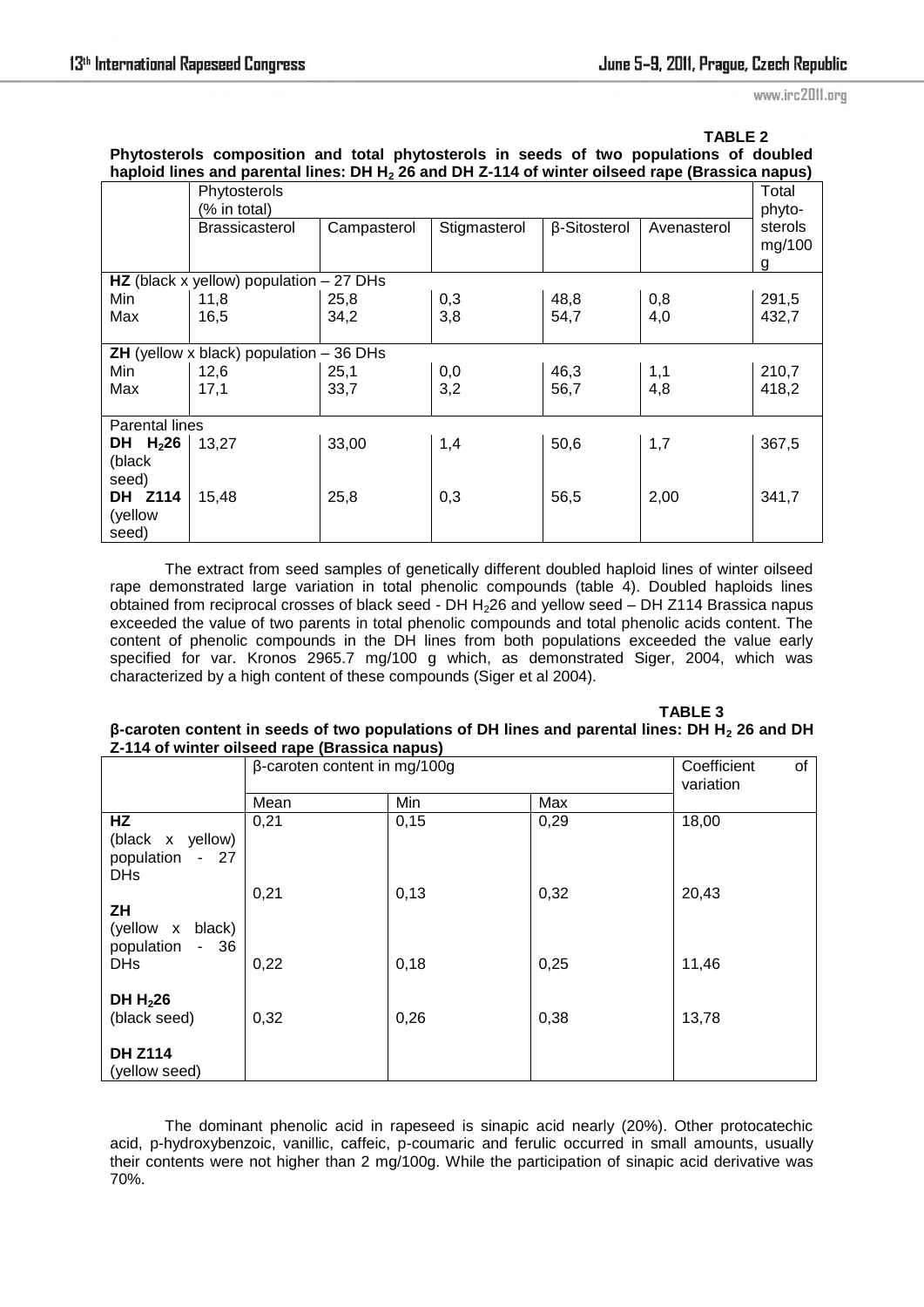www.irc2011.org

## **TABLE 2**

## **Phytosterols composition and total phytosterols in seeds of two populations of doubled haploid lines and parental lines: DH H2 26 and DH Z-114 of winter oilseed rape (Brassica napus)**

|                       | -r - 1-.--<br>Phytosterols<br>(% in total)      |             |              |              |             | Total<br>phyto-        |  |
|-----------------------|-------------------------------------------------|-------------|--------------|--------------|-------------|------------------------|--|
|                       | <b>Brassicasterol</b>                           | Campasterol | Stigmasterol | β-Sitosterol | Avenasterol | sterols<br>mg/100<br>g |  |
|                       | HZ (black x yellow) population $-27$ DHs        |             |              |              |             |                        |  |
| Min                   | 11,8                                            | 25,8        | 0,3          | 48,8         | 0,8         | 291,5                  |  |
| Max                   | 16,5                                            | 34,2        | 3,8          | 54,7         | 4,0         | 432,7                  |  |
|                       |                                                 |             |              |              |             |                        |  |
|                       | <b>ZH</b> (yellow x black) population $-36$ DHs |             |              |              |             |                        |  |
| Min                   | 12,6                                            | 25,1        | 0,0          | 46,3         | 1,1         | 210,7                  |  |
| Max                   | 17,1                                            | 33,7        | 3,2          | 56,7         | 4,8         | 418,2                  |  |
|                       |                                                 |             |              |              |             |                        |  |
| <b>Parental lines</b> |                                                 |             |              |              |             |                        |  |
| DH H <sub>2</sub> 26  | 13,27                                           | 33,00       | 1,4          | 50,6         | 1,7         | 367,5                  |  |
| (black                |                                                 |             |              |              |             |                        |  |
| seed)                 |                                                 |             |              |              |             |                        |  |
| DH Z114               | 15,48                                           | 25,8        | 0,3          | 56,5         | 2,00        | 341,7                  |  |
| (yellow               |                                                 |             |              |              |             |                        |  |
| seed)                 |                                                 |             |              |              |             |                        |  |

The extract from seed samples of genetically different doubled haploid lines of winter oilseed rape demonstrated large variation in total phenolic compounds (table 4). Doubled haploids lines obtained from reciprocal crosses of black seed - DH H226 and yellow seed – DH Z114 Brassica napus exceeded the value of two parents in total phenolic compounds and total phenolic acids content. The content of phenolic compounds in the DH lines from both populations exceeded the value early specified for var. Kronos 2965.7 mg/100 g which, as demonstrated Siger, 2004, which was characterized by a high content of these compounds (Siger et al 2004).

**TABLE 3 TABLE 3** 

#### **β-caroten content in seeds of two populations of DH lines and parental lines: DH H2 26 and DH Z-114 of winter oilseed rape (Brassica napus)**

|                                                             | $\beta$ -caroten content in mg/100g |      |      | Coefficient<br>0f<br>variation |
|-------------------------------------------------------------|-------------------------------------|------|------|--------------------------------|
|                                                             | Mean                                | Min  | Max  |                                |
| HZ<br>(black x yellow)<br>population<br>$-27$<br><b>DHs</b> | 0,21                                | 0,15 | 0,29 | 18,00                          |
| ΖH<br>(yellow x black)                                      | 0,21                                | 0,13 | 0,32 | 20,43                          |
| population<br>$-36$<br><b>DHs</b>                           | 0,22                                | 0,18 | 0,25 | 11,46                          |
| DH $H226$<br>(black seed)                                   | 0,32                                | 0,26 | 0,38 | 13,78                          |
| <b>DH Z114</b><br>(yellow seed)                             |                                     |      |      |                                |

The dominant phenolic acid in rapeseed is sinapic acid nearly (20%). Other protocatechic acid, p-hydroxybenzoic, vanillic, caffeic, p-coumaric and ferulic occurred in small amounts, usually their contents were not higher than 2 mg/100g. While the participation of sinapic acid derivative was 70%.